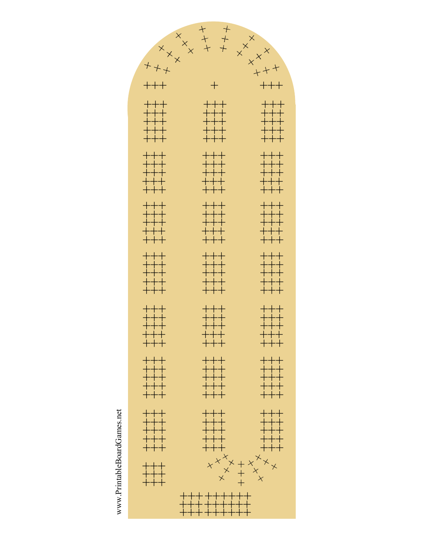www.PrintableBoardGames.net